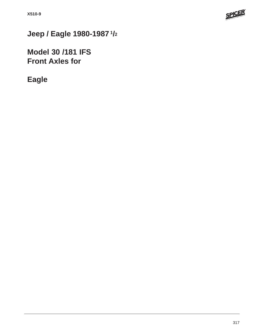

# **Jeep / Eagle 1980-1987 1/2**

**Model 30 /181 IFS Front Axles for**

**Eagle**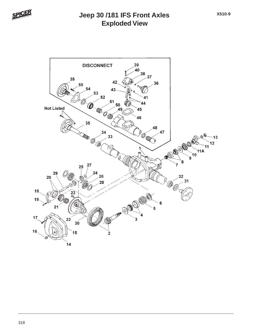#### **Exploded View Jeep 30 /181 IFS Front Axles**

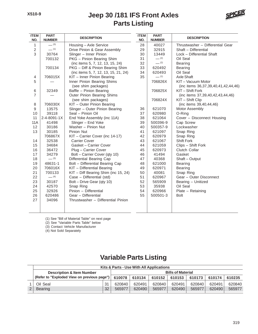## **Parts Listing Jeep 30 /181 IFS Front Axles**



| <b>ITEM</b><br>NO. | <b>PART</b><br><b>NUMBER</b> | <b>DESCRIPTION</b>                   | <b>ITEM</b><br>NO. | <b>PART</b><br><b>NUMBER</b> | <b>DESCRIPTION</b>                  |
|--------------------|------------------------------|--------------------------------------|--------------------|------------------------------|-------------------------------------|
| 1                  | $- (3)$                      | Housing - Axle Service               | 28                 | 40027                        | Thrustwasher - Differential Gear    |
| $\overline{2}$     | $-$ (1)                      | Drive Pinion & Gear Assembly         | 29                 | 32915                        | Shaft - Differential                |
| 3                  | 30764                        | Slinger - Inner Pinion               | 30                 | 13449                        | Lock - Differential Shaft           |
|                    | 700132                       | PKG - Pinion Bearing Shim            | 31                 | $- (2)$                      | Oil Seal                            |
|                    |                              | (inc items 5, 7, 12, 13, 15, 24)     | 32                 | $- (2)$                      | <b>Bearing</b>                      |
|                    | 700134                       | PKG - Diff & Pinion Bearing Shim     | 33                 | 620492                       | <b>Bearing</b>                      |
|                    |                              | (inc items 5, 7, 12, 13, 15, 21, 24) | 34                 | 620493                       | Oil Seal                            |
| 4                  | 706015X                      | KIT - Inner Pinion Bearing           | 35                 | $-$ (1)                      | Axle Shaft                          |
| 5                  |                              | Inner Pinion Bearing Shims           |                    | 706826X                      | KIT - Vacuum Motor                  |
|                    |                              | (see shim packages)                  |                    |                              | (inc items 36,37,39,40,41,42,44,46) |
| 6                  | 32349                        | Baffle - Pinion Bearing              |                    | 706825X                      | KIT - Shift Fork                    |
| $\overline{7}$     |                              | Outer Pinion Bearing Shims           |                    |                              | (inc items 37,39,40,42,43,44,46)    |
|                    |                              | (see shim packages)                  |                    | 706824X                      | KIT - Shift Clip                    |
| 8                  | 706030X                      | KIT - Outer Pinion Bearing           |                    |                              | (inc items 39,40,44,46)             |
| 9                  | 13575                        | Slinger - Outer Pinion Bearing       | 36                 | 621070                       | Motor Assembly                      |
| 10                 | 39118                        | Seal - Pinion Oil                    | 37                 | 620980                       | O-Ring                              |
| 11                 | 2-4-8091-1X                  | End Yoke Assembly (inc 11A)          | 38                 | 621064                       | Cover - Disconnect Housing          |
| 11A                | 41498                        | Slinger - End Yoke                   | 39                 | 500396-9                     | Cap Screw                           |
| 12                 | 30186                        | Washer - Pinion Nut                  | 40                 | 500357-9                     | Lockwasher                          |
| 13                 | 30185                        | Pinion Nut                           | 41                 | 621097                       | Snap Ring                           |
|                    | 706867X                      | KIT - Carrier Cover (inc 14-17)      | 42                 | 620979                       | Snap Ring                           |
| 14                 | 32538                        | <b>Carrier Cover</b>                 | 43                 | 621067                       | <b>Shift Fork</b>                   |
| 15                 | 34684                        | Gasket - Carrier Cover               | 44                 | 621059                       | Clips - Shift Fork                  |
| 16                 | 36472                        | Plug - Carrier Cover                 | 45                 | 620973                       | Clutch Collar                       |
| 17                 | 34279                        | Bolt - Carrier Cover (qty 10)        | 46                 | 41494                        | Gasket                              |
| 18                 | $- (3)$                      | Differential Bearing Cap             | 47                 | 40368                        | Shaft - Output                      |
| 19                 | 48631-1                      | Bolt - Differential Bearing Cap      | 48                 | 621000                       | <b>Bearing</b>                      |
| 20                 | 706016X                      | KIT - Differential Bearing           | 49                 | 620971                       | <b>Bearing</b>                      |
| 21                 | 700133                       | KIT - Diff Bearing Shim (inc 15, 24) | 50                 | 40081                        | Snap Ring                           |
| 22                 | $-$ (4)                      | Case - Differential (std)            | 51                 | 620967                       | Gear - Outer Disconnect             |
| 23                 | 30187                        | Bolt - Drive Gear (qty 10)           | 52                 | 565909                       | Bearing - Unitized                  |
| 24                 | 42570                        | Snap Ring                            | 53                 | 35938                        | Oil Seal                            |
| 25                 | 32926                        | Pinion - Differential                | 54                 | 620966                       | Plate - Retaining                   |
| 26                 | 620486                       | Gear - Differential                  | 55                 | 500501-3                     | <b>Bolt</b>                         |
| 27                 | 34096                        | Thrustwasher - Differential Pinion   |                    |                              |                                     |
|                    |                              |                                      |                    |                              |                                     |
|                    |                              |                                      |                    |                              |                                     |

(1) See "Bill of Material Table" on next page

(2) See "Variable Parts Table" below

(3) Contact Vehicle Manufacturer

(4) Not Sold Separately

| Kits & Parts - Use With All Applications    |                          |        |        |        |        |        |        |        |  |  |
|---------------------------------------------|--------------------------|--------|--------|--------|--------|--------|--------|--------|--|--|
| <b>Description &amp; Item Number</b>        | <b>Bills of Material</b> |        |        |        |        |        |        |        |  |  |
| (Refer to "Exploded View on previous page") | 610078                   | 610134 | 610152 | 610153 | 610173 | 610174 | 610235 |        |  |  |
| Oil Seal                                    | 31                       | 620840 | 620491 | 620840 | 620491 | 620840 | 620491 | 620840 |  |  |
| <b>Bearing</b>                              | 32                       | 565977 | 620490 | 565977 | 620490 | 565977 | 620490 | 565977 |  |  |

## **Variable Parts Listing**